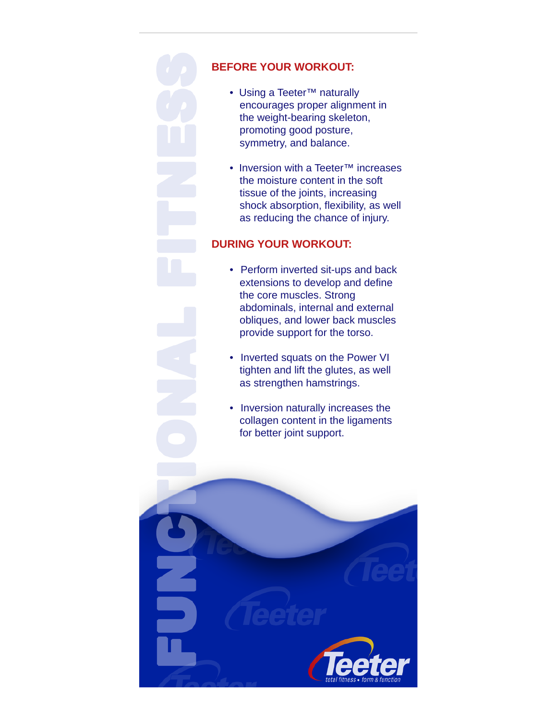

## **BEFORE YOUR WORKOUT:**

- Using a Teeter™ naturally encourages proper alignment in the weight-bearing skeleton, promoting good posture, symmetry, and balance.
- Inversion with a Teeter™ increases the moisture content in the soft tissue of the joints, increasing shock absorption, flexibility, as well as reducing the chance of injury.

## **DURING YOUR WORKOUT:**

- Perform inverted sit-ups and back extensions to develop and define the core muscles. Strong abdominals, internal and external obliques, and lower back muscles provide support for the torso.
- Inverted squats on the Power VI tighten and lift the glutes, as well as strengthen hamstrings.
- Inversion naturally increases the collagen content in the ligaments for better joint support.